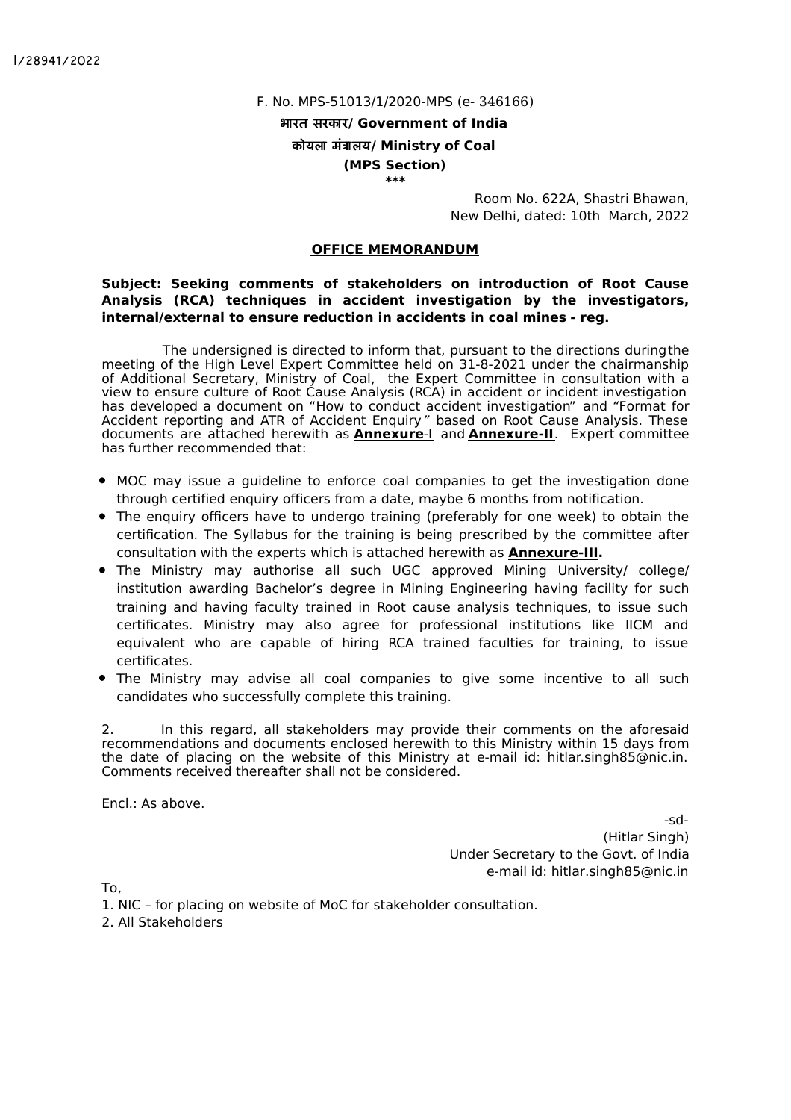I/28941/2022

#### F. No. MPS-51013/1/2020-MPS (e- 346166)

भारत सरकार**/ Government of India**

### कोयला मंालय**/ Ministry of Coal**

**(MPS Section) \*\*\***

> Room No. 622A, Shastri Bhawan, New Delhi, dated: 10th March, 2022

#### **OFFICE MEMORANDUM**

#### **Subject: Seeking comments of stakeholders on introduction of Root Cause Analysis (RCA) techniques in accident investigation by the investigators, internal/external to ensure reduction in accidents in coal mines - reg.**

The undersigned is directed to inform that, pursuant to the directions duringthe meeting of the High Level Expert Committee held on 31-8-2021 under the chairmanship of Additional Secretary, Ministry of Coal, the Expert Committee in consultation with a view to ensure culture of Root Cause Analysis (RCA) in accident or incident investigation has developed a document on "How to conduct accident investigation" and "Format for Accident reporting and ATR of Accident Enquiry" based on Root Cause Analysis. These documents are attached herewith as **Annexure**-I and **Annexure-II**. Expert committee has further recommended that:

- MOC may issue a guideline to enforce coal companies to get the investigation done through certified enquiry officers from a date, maybe 6 months from notification.
- The enquiry officers have to undergo training (preferably for one week) to obtain the certification. The Syllabus for the training is being prescribed by the committee after consultation with the experts which is attached herewith as **Annexure-III.**
- The Ministry may authorise all such UGC approved Mining University/ college/ institution awarding Bachelor's degree in Mining Engineering having facility for such training and having faculty trained in Root cause analysis techniques, to issue such certificates. Ministry may also agree for professional institutions like IICM and equivalent who are capable of hiring RCA trained faculties for training, to issue certificates.
- The Ministry may advise all coal companies to give some incentive to all such candidates who successfully complete this training.

2. In this regard, all stakeholders may provide their comments on the aforesaid recommendations and documents enclosed herewith to this Ministry within 15 days from the date of placing on the website of this Ministry at e-mail id: hitlar.singh85@nic.in. Comments received thereafter shall not be considered.

Encl.: As above.

-sd- (Hitlar Singh) Under Secretary to the Govt. of India e-mail id: hitlar.singh85@nic.in

To,

1. NIC – for placing on website of MoC for stakeholder consultation. 2. All Stakeholders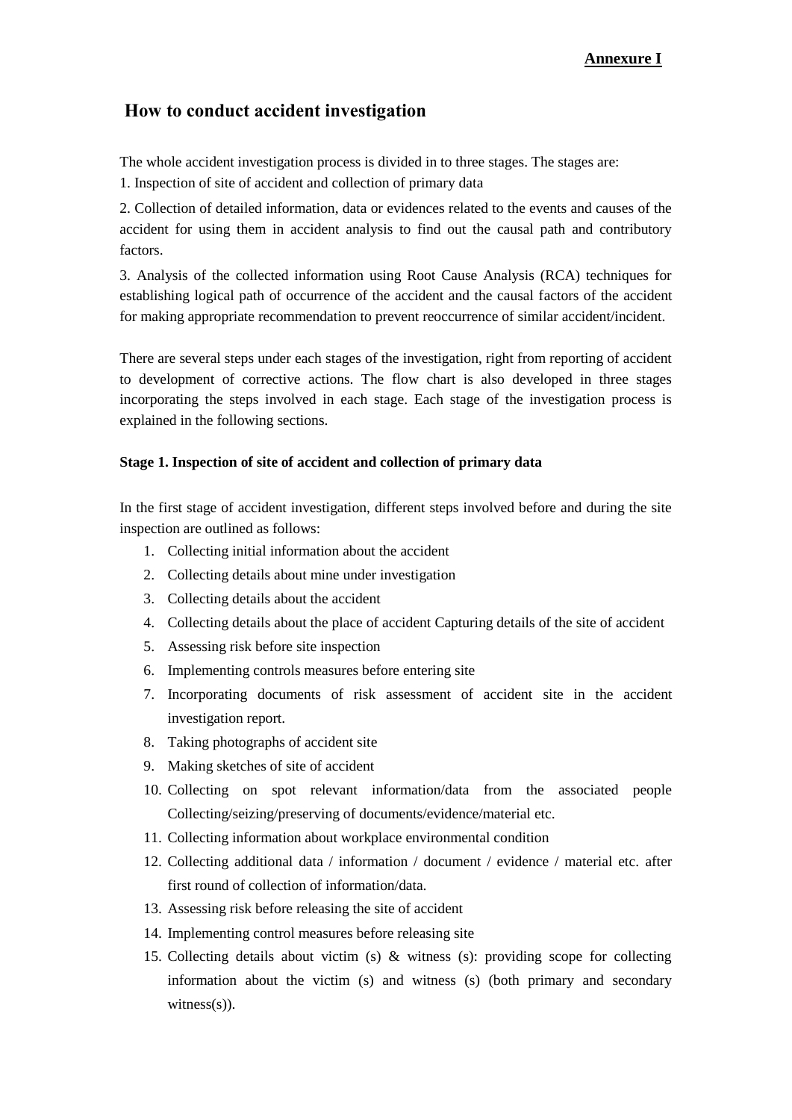### **Annexure I**

# **How to conduct accident investigation**

The whole accident investigation process is divided in to three stages. The stages are:

1. Inspection of site of accident and collection of primary data

2. Collection of detailed information, data or evidences related to the events and causes of the accident for using them in accident analysis to find out the causal path and contributory factors.

3. Analysis of the collected information using Root Cause Analysis (RCA) techniques for establishing logical path of occurrence of the accident and the causal factors of the accident for making appropriate recommendation to prevent reoccurrence of similar accident/incident.

There are several steps under each stages of the investigation, right from reporting of accident to development of corrective actions. The flow chart is also developed in three stages incorporating the steps involved in each stage. Each stage of the investigation process is explained in the following sections.

### **Stage 1. Inspection of site of accident and collection of primary data**

In the first stage of accident investigation, different steps involved before and during the site inspection are outlined as follows:

- 1. Collecting initial information about the accident
- 2. Collecting details about mine under investigation
- 3. Collecting details about the accident
- 4. Collecting details about the place of accident Capturing details of the site of accident
- 5. Assessing risk before site inspection
- 6. Implementing controls measures before entering site
- 7. Incorporating documents of risk assessment of accident site in the accident investigation report.
- 8. Taking photographs of accident site
- 9. Making sketches of site of accident
- 10. Collecting on spot relevant information/data from the associated people Collecting/seizing/preserving of documents/evidence/material etc.
- 11. Collecting information about workplace environmental condition
- 12. Collecting additional data / information / document / evidence / material etc. after first round of collection of information/data.
- 13. Assessing risk before releasing the site of accident
- 14. Implementing control measures before releasing site
- 15. Collecting details about victim (s) & witness (s): providing scope for collecting information about the victim (s) and witness (s) (both primary and secondary witness $(s)$ ).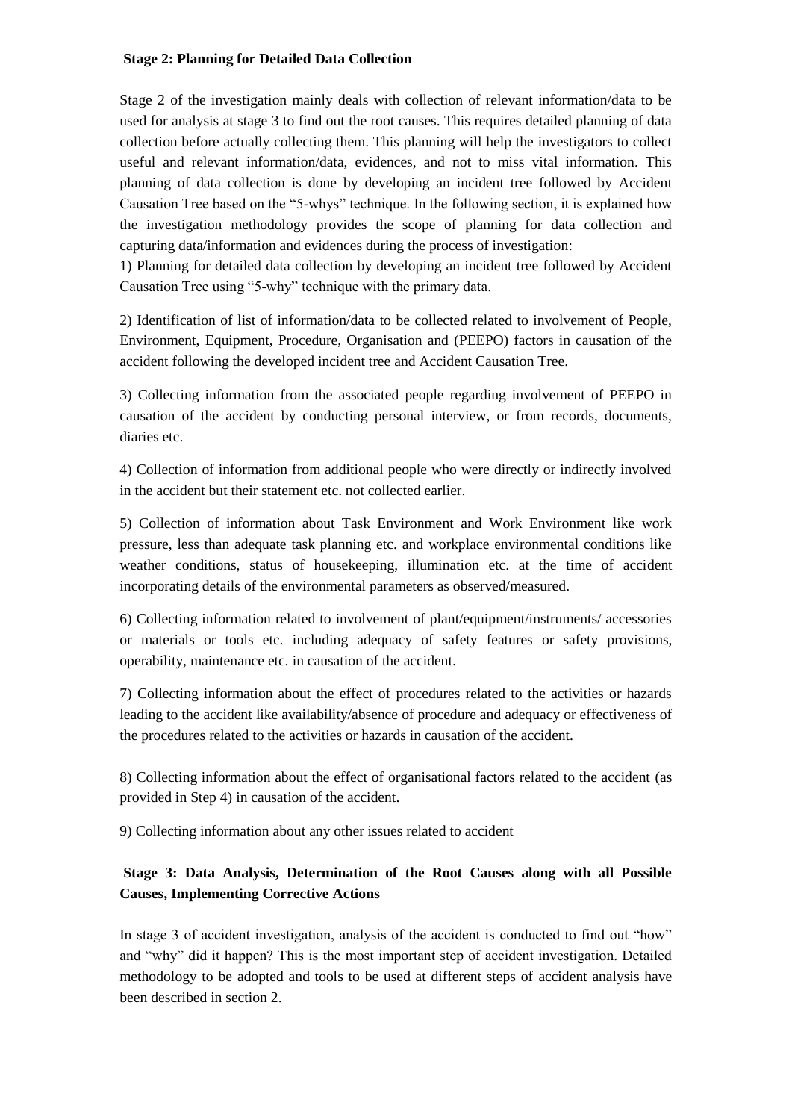### **Stage 2: Planning for Detailed Data Collection**

Stage 2 of the investigation mainly deals with collection of relevant information/data to be used for analysis at stage 3 to find out the root causes. This requires detailed planning of data collection before actually collecting them. This planning will help the investigators to collect useful and relevant information/data, evidences, and not to miss vital information. This planning of data collection is done by developing an incident tree followed by Accident Causation Tree based on the "5-whys" technique. In the following section, it is explained how the investigation methodology provides the scope of planning for data collection and capturing data/information and evidences during the process of investigation:

1) Planning for detailed data collection by developing an incident tree followed by Accident Causation Tree using "5-why" technique with the primary data.

2) Identification of list of information/data to be collected related to involvement of People, Environment, Equipment, Procedure, Organisation and (PEEPO) factors in causation of the accident following the developed incident tree and Accident Causation Tree.

3) Collecting information from the associated people regarding involvement of PEEPO in causation of the accident by conducting personal interview, or from records, documents, diaries etc.

4) Collection of information from additional people who were directly or indirectly involved in the accident but their statement etc. not collected earlier.

5) Collection of information about Task Environment and Work Environment like work pressure, less than adequate task planning etc. and workplace environmental conditions like weather conditions, status of housekeeping, illumination etc. at the time of accident incorporating details of the environmental parameters as observed/measured.

6) Collecting information related to involvement of plant/equipment/instruments/ accessories or materials or tools etc. including adequacy of safety features or safety provisions, operability, maintenance etc. in causation of the accident.

7) Collecting information about the effect of procedures related to the activities or hazards leading to the accident like availability/absence of procedure and adequacy or effectiveness of the procedures related to the activities or hazards in causation of the accident.

8) Collecting information about the effect of organisational factors related to the accident (as provided in Step 4) in causation of the accident.

9) Collecting information about any other issues related to accident

## **Stage 3: Data Analysis, Determination of the Root Causes along with all Possible Causes, Implementing Corrective Actions**

In stage 3 of accident investigation, analysis of the accident is conducted to find out "how" and "why" did it happen? This is the most important step of accident investigation. Detailed methodology to be adopted and tools to be used at different steps of accident analysis have been described in section 2.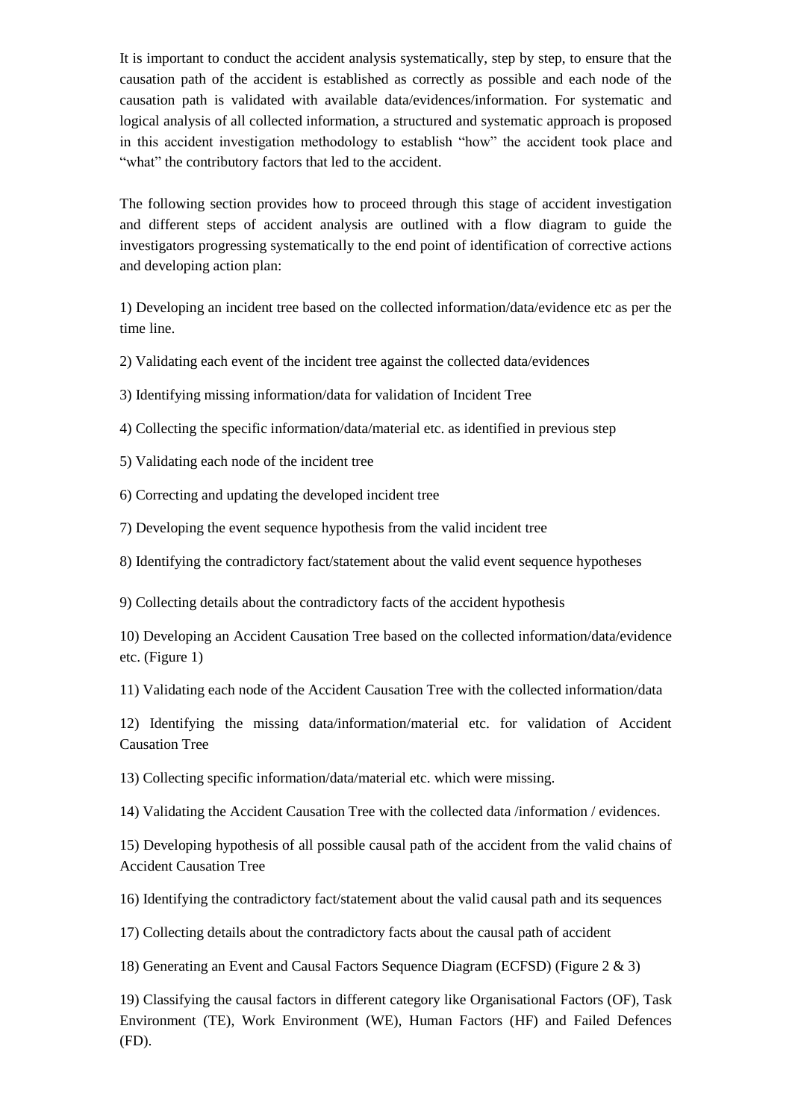It is important to conduct the accident analysis systematically, step by step, to ensure that the causation path of the accident is established as correctly as possible and each node of the causation path is validated with available data/evidences/information. For systematic and logical analysis of all collected information, a structured and systematic approach is proposed in this accident investigation methodology to establish "how" the accident took place and "what" the contributory factors that led to the accident.

The following section provides how to proceed through this stage of accident investigation and different steps of accident analysis are outlined with a flow diagram to guide the investigators progressing systematically to the end point of identification of corrective actions and developing action plan:

1) Developing an incident tree based on the collected information/data/evidence etc as per the time line.

2) Validating each event of the incident tree against the collected data/evidences

3) Identifying missing information/data for validation of Incident Tree

4) Collecting the specific information/data/material etc. as identified in previous step

5) Validating each node of the incident tree

6) Correcting and updating the developed incident tree

7) Developing the event sequence hypothesis from the valid incident tree

8) Identifying the contradictory fact/statement about the valid event sequence hypotheses

9) Collecting details about the contradictory facts of the accident hypothesis

10) Developing an Accident Causation Tree based on the collected information/data/evidence etc. (Figure 1)

11) Validating each node of the Accident Causation Tree with the collected information/data

12) Identifying the missing data/information/material etc. for validation of Accident Causation Tree

13) Collecting specific information/data/material etc. which were missing.

14) Validating the Accident Causation Tree with the collected data /information / evidences.

15) Developing hypothesis of all possible causal path of the accident from the valid chains of Accident Causation Tree

16) Identifying the contradictory fact/statement about the valid causal path and its sequences

17) Collecting details about the contradictory facts about the causal path of accident

18) Generating an Event and Causal Factors Sequence Diagram (ECFSD) (Figure 2 & 3)

19) Classifying the causal factors in different category like Organisational Factors (OF), Task Environment (TE), Work Environment (WE), Human Factors (HF) and Failed Defences (FD).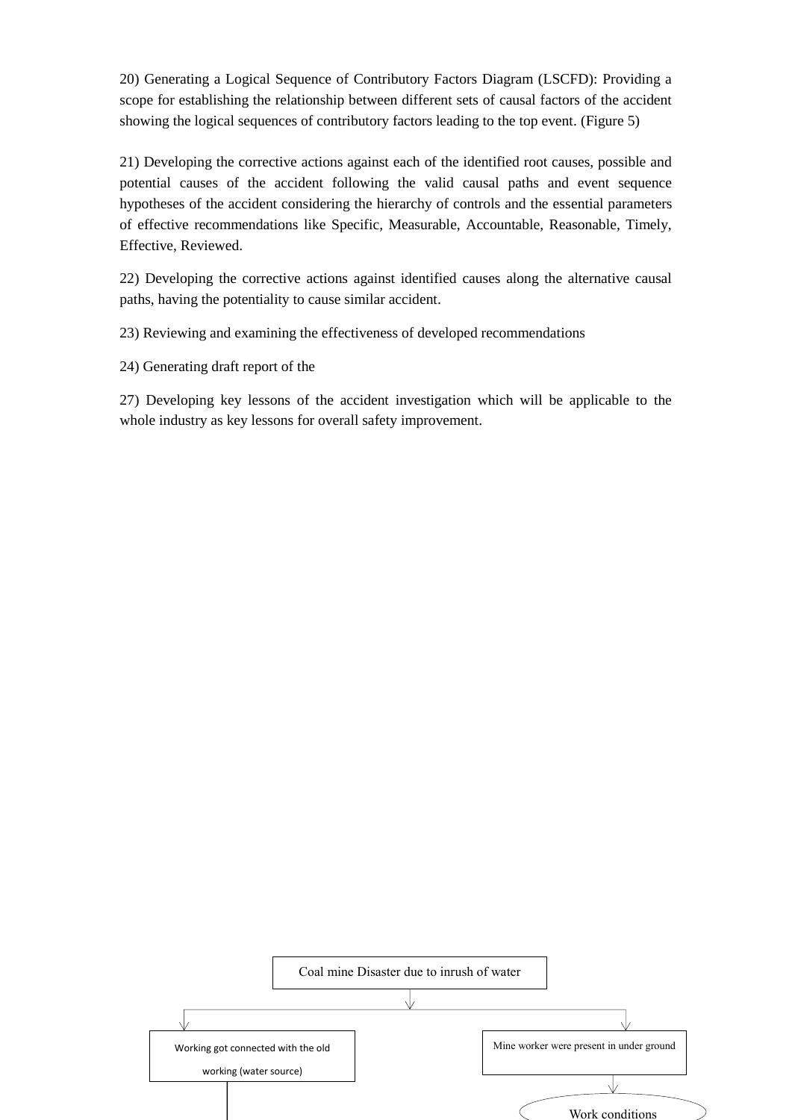20) Generating a Logical Sequence of Contributory Factors Diagram (LSCFD): Providing a scope for establishing the relationship between different sets of causal factors of the accident showing the logical sequences of contributory factors leading to the top event. (Figure 5)

21) Developing the corrective actions against each of the identified root causes, possible and potential causes of the accident following the valid causal paths and event sequence hypotheses of the accident considering the hierarchy of controls and the essential parameters of effective recommendations like Specific, Measurable, Accountable, Reasonable, Timely, Effective, Reviewed.

22) Developing the corrective actions against identified causes along the alternative causal paths, having the potentiality to cause similar accident.

23) Reviewing and examining the effectiveness of developed recommendations

24) Generating draft report of the

27) Developing key lessons of the accident investigation which will be applicable to the whole industry as key lessons for overall safety improvement.

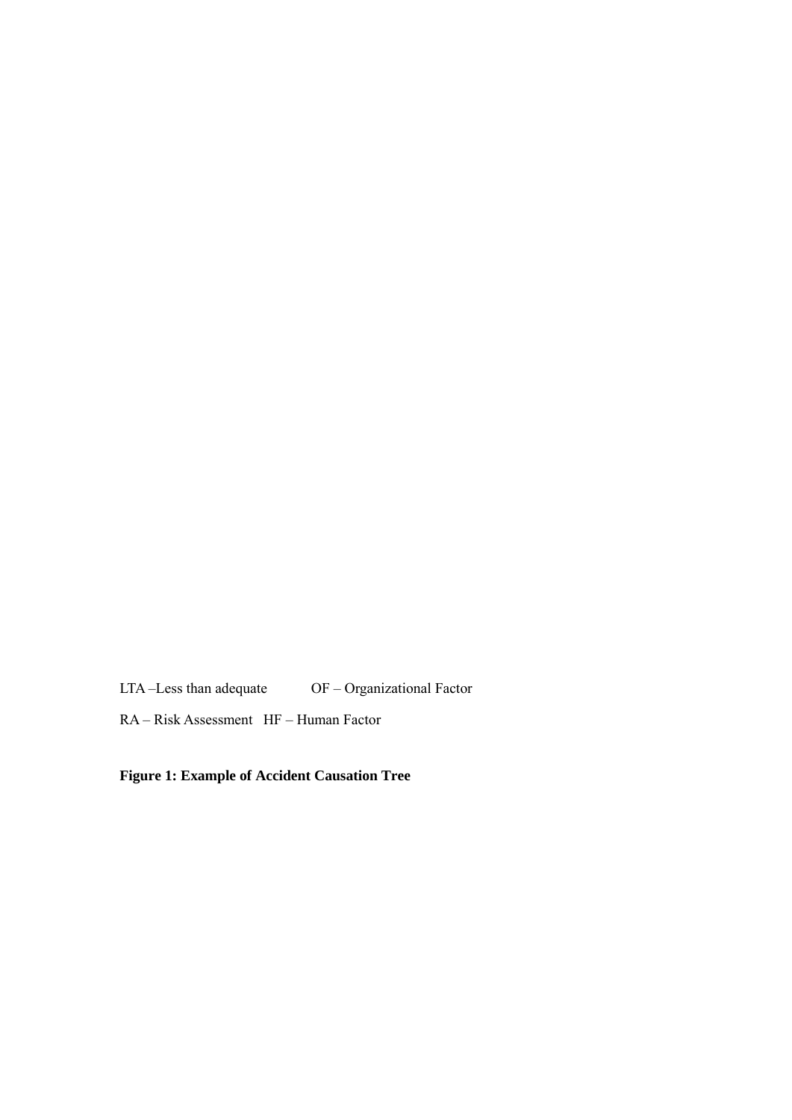LTA –Less than adequate OF – Organizational Factor

RA – Risk Assessment HF – Human Factor

# **Figure 1: Example of Accident Causation Tree**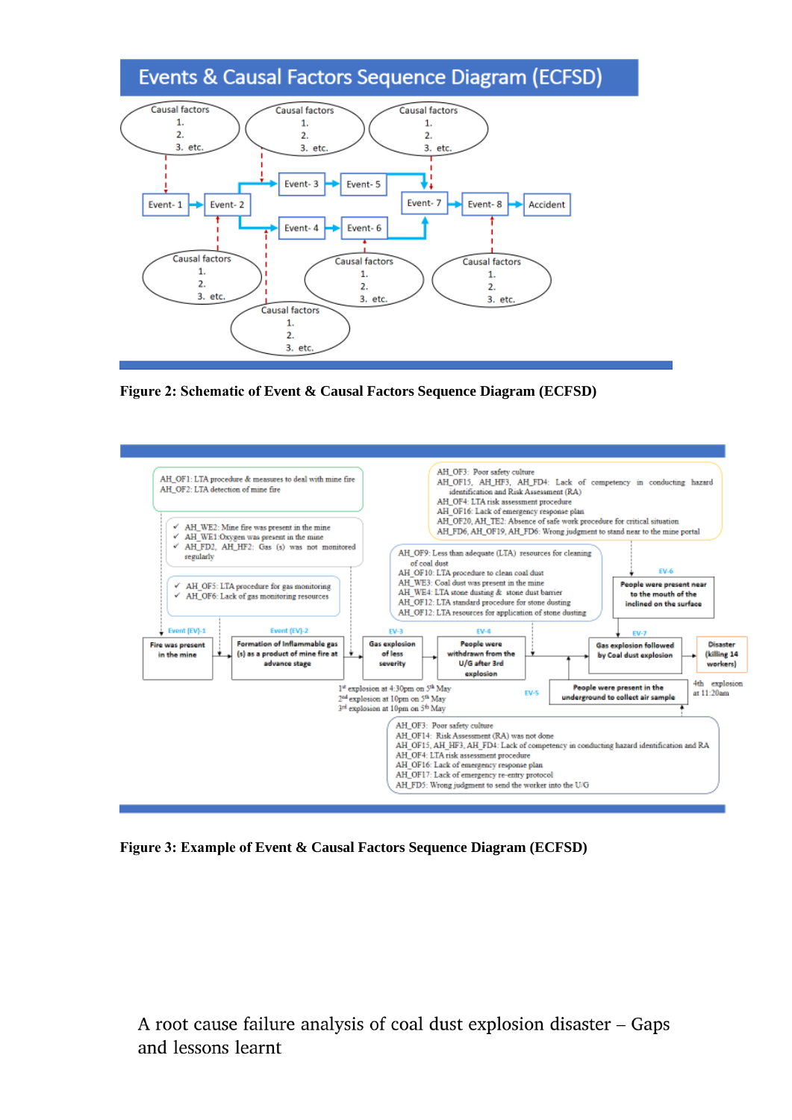# Events & Causal Factors Sequence Diagram (ECFSD)



**Figure 2: Schematic of Event & Causal Factors Sequence Diagram (ECFSD)**



**Figure 3: Example of Event & Causal Factors Sequence Diagram (ECFSD)**

A root cause failure analysis of coal dust explosion disaster - Gaps and lessons learnt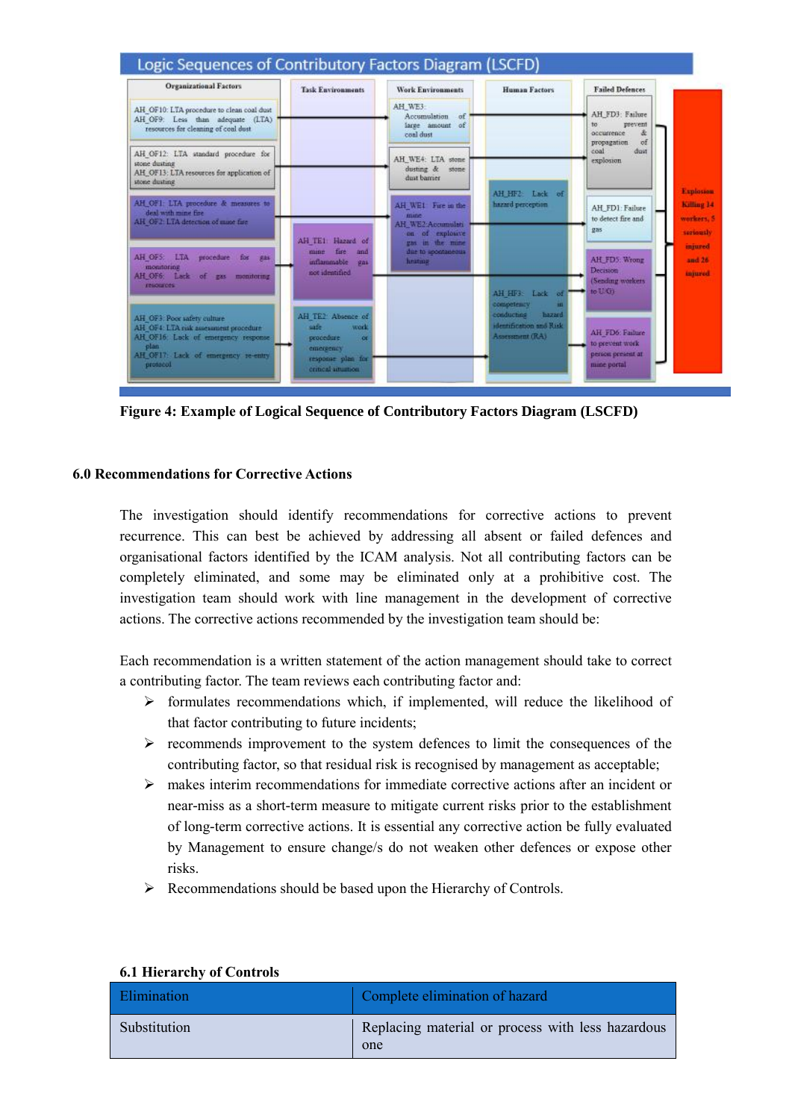

**Figure 4: Example of Logical Sequence of Contributory Factors Diagram (LSCFD)**

#### **6.0 Recommendations for Corrective Actions**

The investigation should identify recommendations for corrective actions to prevent recurrence. This can best be achieved by addressing all absent or failed defences and organisational factors identified by the ICAM analysis. Not all contributing factors can be completely eliminated, and some may be eliminated only at a prohibitive cost. The investigation team should work with line management in the development of corrective actions. The corrective actions recommended by the investigation team should be:

Each recommendation is a written statement of the action management should take to correct a contributing factor. The team reviews each contributing factor and:

- $\triangleright$  formulates recommendations which, if implemented, will reduce the likelihood of that factor contributing to future incidents;
- $\triangleright$  recommends improvement to the system defences to limit the consequences of the contributing factor, so that residual risk is recognised by management as acceptable;
- makes interim recommendations for immediate corrective actions after an incident or near-miss as a short-term measure to mitigate current risks prior to the establishment of long-term corrective actions. It is essential any corrective action be fully evaluated by Management to ensure change/s do not weaken other defences or expose other risks.
- $\triangleright$  Recommendations should be based upon the Hierarchy of Controls.

| 0.1 HIGHT OF OTHER |                                                          |
|--------------------|----------------------------------------------------------|
| <b>Elimination</b> | Complete elimination of hazard                           |
| Substitution       | Replacing material or process with less hazardous<br>one |

#### **6.1 Hierarchy of Controls**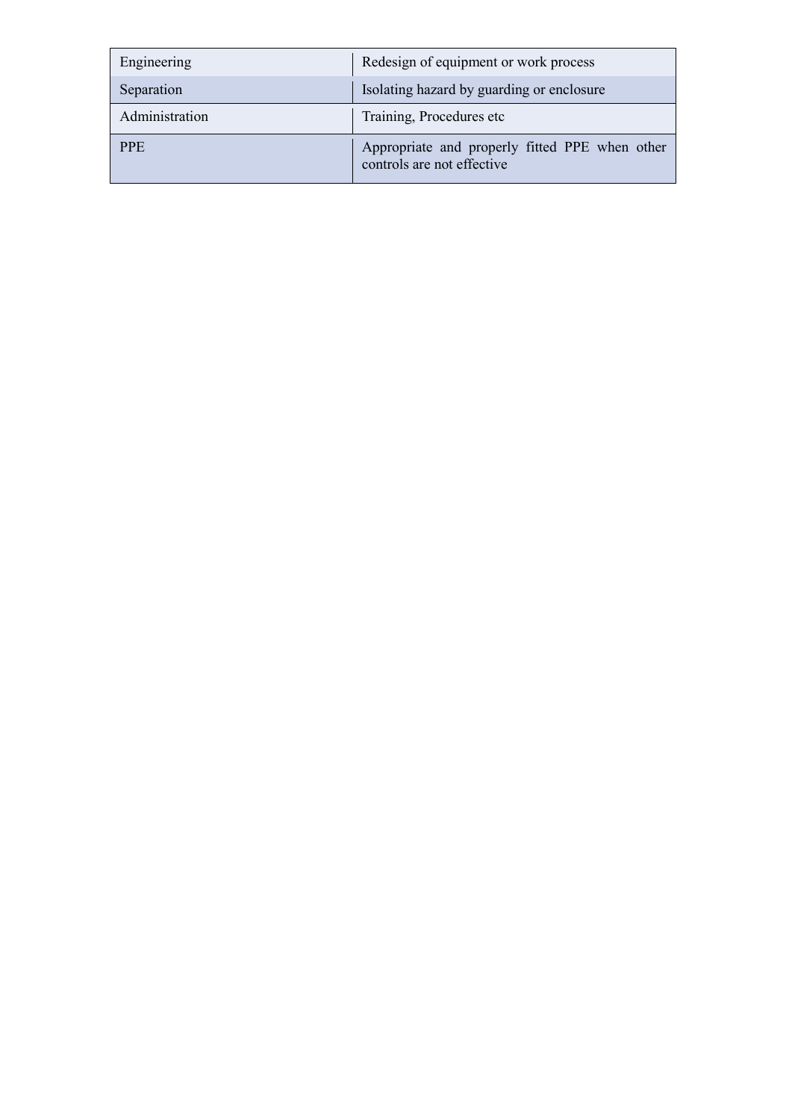| Engineering    | Redesign of equipment or work process                                        |
|----------------|------------------------------------------------------------------------------|
| Separation     | Isolating hazard by guarding or enclosure                                    |
| Administration | Training, Procedures etc.                                                    |
| <b>PPE</b>     | Appropriate and properly fitted PPE when other<br>controls are not effective |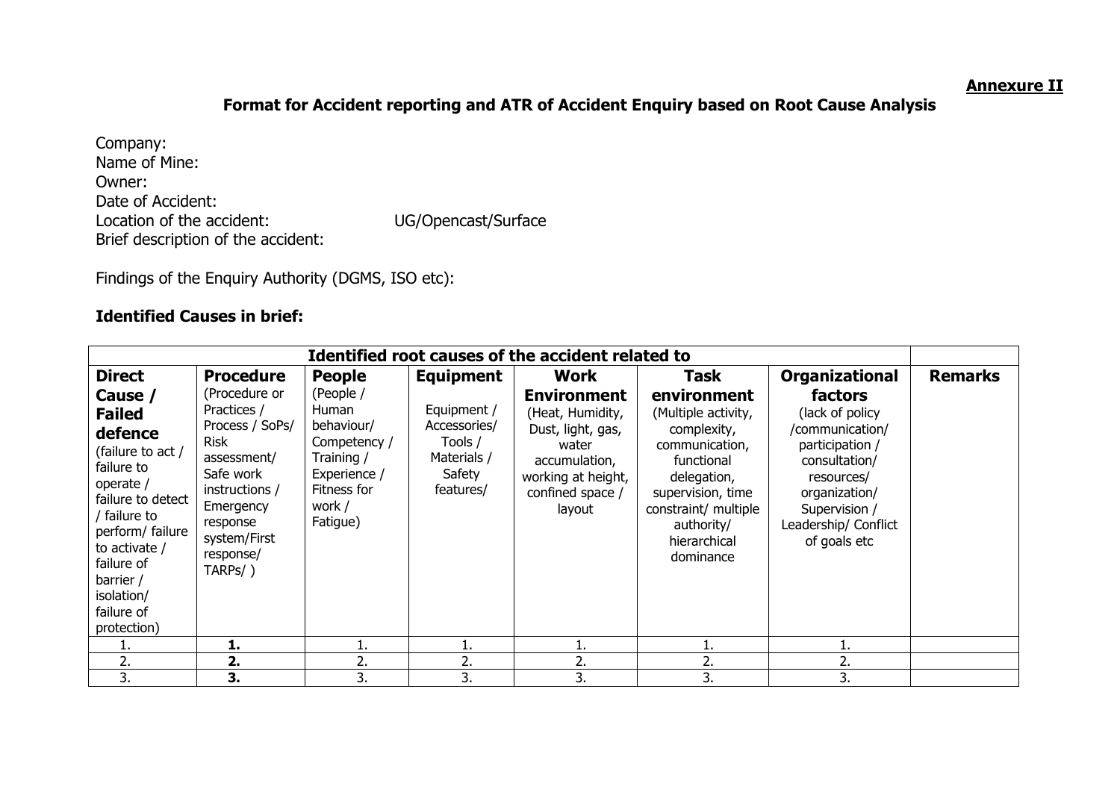### **Annexure II**

# **Format for Accident reporting and ATR of Accident Enquiry based on Root Cause Analysis**

Company: Name of Mine: Owner: Date of Accident: Location of the accident: UG/Opencast/Surface Brief description of the accident:

Findings of the Enquiry Authority (DGMS, ISO etc):

# **Identified Causes in brief:**

| Identified root causes of the accident related to                                                                                                                                                                                                          |                                                                                                                                                                                                         |                                                                                                                                      |                                                                                                        |                                                                                                                                                          |                                                                                                                                                                                                  |                                                                                                                                                                                                     |                |
|------------------------------------------------------------------------------------------------------------------------------------------------------------------------------------------------------------------------------------------------------------|---------------------------------------------------------------------------------------------------------------------------------------------------------------------------------------------------------|--------------------------------------------------------------------------------------------------------------------------------------|--------------------------------------------------------------------------------------------------------|----------------------------------------------------------------------------------------------------------------------------------------------------------|--------------------------------------------------------------------------------------------------------------------------------------------------------------------------------------------------|-----------------------------------------------------------------------------------------------------------------------------------------------------------------------------------------------------|----------------|
| <b>Direct</b><br>Cause /<br><b>Failed</b><br>defence<br>(failure to act /<br>failure to<br>operate /<br>failure to detect<br>/ failure to<br>perform/ failure<br>to activate /<br>failure of<br>barrier /<br>isolation/<br>failure of<br>protection)<br>ı. | <b>Procedure</b><br>(Procedure or<br>Practices /<br>Process / SoPs/<br><b>Risk</b><br>assessment/<br>Safe work<br>instructions /<br>Emergency<br>response<br>system/First<br>response/<br>TARPs/)<br>1. | <b>People</b><br>(People /<br>Human<br>behaviour/<br>Competency /<br>Training /<br>Experience /<br>Fitness for<br>work /<br>Fatigue) | <b>Equipment</b><br>Equipment /<br>Accessories/<br>Tools /<br>Materials /<br>Safety<br>features/<br>1. | <b>Work</b><br><b>Environment</b><br>(Heat, Humidity,<br>Dust, light, gas,<br>water<br>accumulation,<br>working at height,<br>confined space /<br>layout | Task<br>environment<br>(Multiple activity,<br>complexity,<br>communication,<br>functional<br>delegation,<br>supervision, time<br>constraint/ multiple<br>authority/<br>hierarchical<br>dominance | <b>Organizational</b><br>factors<br>(lack of policy)<br>/communication/<br>participation /<br>consultation/<br>resources/<br>organization/<br>Supervision /<br>Leadership/ Conflict<br>of goals etc | <b>Remarks</b> |
| 2.                                                                                                                                                                                                                                                         | 2.                                                                                                                                                                                                      | ı.<br>2.                                                                                                                             | 2.                                                                                                     | 2.                                                                                                                                                       | 2.                                                                                                                                                                                               | 2.                                                                                                                                                                                                  |                |
| 3.                                                                                                                                                                                                                                                         | 3.                                                                                                                                                                                                      | 3.                                                                                                                                   | 3.                                                                                                     | 3.                                                                                                                                                       | 3.                                                                                                                                                                                               | 3.                                                                                                                                                                                                  |                |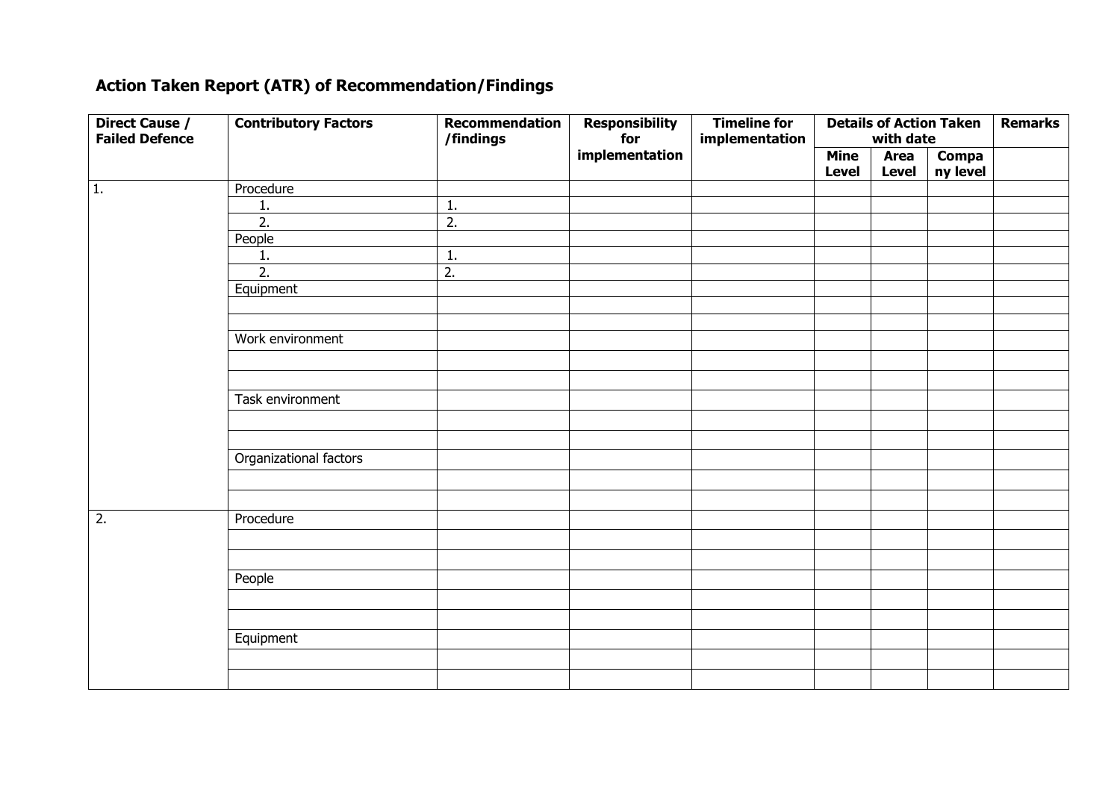# **Action Taken Report (ATR) of Recommendation/Findings**

| <b>Direct Cause /</b><br><b>Failed Defence</b> | <b>Contributory Factors</b> | <b>Recommendation</b><br>/findings | <b>Responsibility</b><br>for | <b>Timeline for</b><br>implementation |              | with date    | <b>Details of Action Taken</b> | <b>Remarks</b> |
|------------------------------------------------|-----------------------------|------------------------------------|------------------------------|---------------------------------------|--------------|--------------|--------------------------------|----------------|
|                                                |                             |                                    | implementation               |                                       | <b>Mine</b>  | <b>Area</b>  | <b>Compa</b>                   |                |
|                                                |                             |                                    |                              |                                       | <b>Level</b> | <b>Level</b> | ny level                       |                |
|                                                |                             |                                    |                              |                                       |              |              |                                |                |
| 1.                                             | Procedure                   |                                    |                              |                                       |              |              |                                |                |
|                                                | <u>1.</u>                   | 1.                                 |                              |                                       |              |              |                                |                |
|                                                | $\overline{2}$ .            | $\overline{2}$ .                   |                              |                                       |              |              |                                |                |
|                                                | People                      |                                    |                              |                                       |              |              |                                |                |
|                                                | 1.                          | 1.                                 |                              |                                       |              |              |                                |                |
|                                                | $\overline{2}$ .            | 2.                                 |                              |                                       |              |              |                                |                |
|                                                | Equipment                   |                                    |                              |                                       |              |              |                                |                |
|                                                |                             |                                    |                              |                                       |              |              |                                |                |
|                                                |                             |                                    |                              |                                       |              |              |                                |                |
|                                                | Work environment            |                                    |                              |                                       |              |              |                                |                |
|                                                |                             |                                    |                              |                                       |              |              |                                |                |
|                                                |                             |                                    |                              |                                       |              |              |                                |                |
|                                                | Task environment            |                                    |                              |                                       |              |              |                                |                |
|                                                |                             |                                    |                              |                                       |              |              |                                |                |
|                                                |                             |                                    |                              |                                       |              |              |                                |                |
|                                                | Organizational factors      |                                    |                              |                                       |              |              |                                |                |
|                                                |                             |                                    |                              |                                       |              |              |                                |                |
|                                                |                             |                                    |                              |                                       |              |              |                                |                |
| 2.                                             | Procedure                   |                                    |                              |                                       |              |              |                                |                |
|                                                |                             |                                    |                              |                                       |              |              |                                |                |
|                                                |                             |                                    |                              |                                       |              |              |                                |                |
|                                                | People                      |                                    |                              |                                       |              |              |                                |                |
|                                                |                             |                                    |                              |                                       |              |              |                                |                |
|                                                |                             |                                    |                              |                                       |              |              |                                |                |
|                                                | Equipment                   |                                    |                              |                                       |              |              |                                |                |
|                                                |                             |                                    |                              |                                       |              |              |                                |                |
|                                                |                             |                                    |                              |                                       |              |              |                                |                |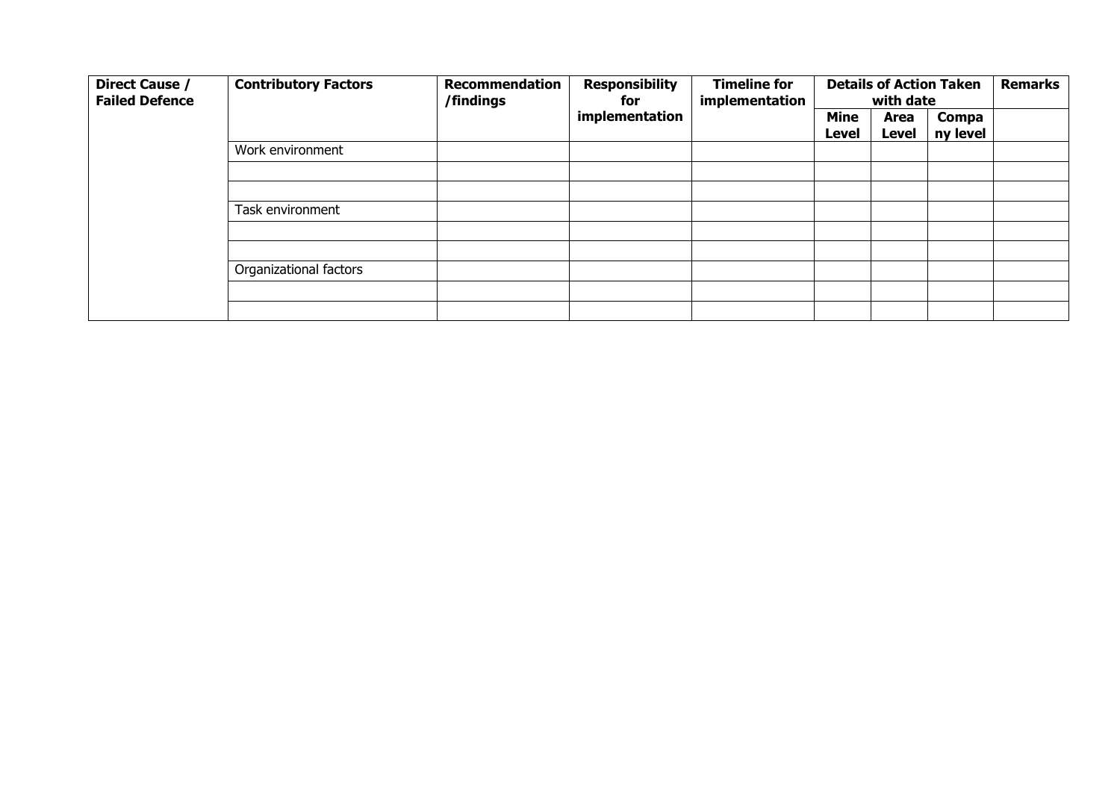| Direct Cause /<br><b>Failed Defence</b> | <b>Contributory Factors</b> | <b>Recommendation</b><br>/findings | <b>Responsibility</b><br>for | <b>Timeline for</b><br>implementation |                      | with date            | <b>Details of Action Taken</b> | <b>Remarks</b> |
|-----------------------------------------|-----------------------------|------------------------------------|------------------------------|---------------------------------------|----------------------|----------------------|--------------------------------|----------------|
|                                         |                             |                                    | implementation               |                                       | <b>Mine</b><br>Level | Area<br><b>Level</b> | Compa<br>ny level              |                |
|                                         | Work environment            |                                    |                              |                                       |                      |                      |                                |                |
|                                         |                             |                                    |                              |                                       |                      |                      |                                |                |
|                                         |                             |                                    |                              |                                       |                      |                      |                                |                |
|                                         | Task environment            |                                    |                              |                                       |                      |                      |                                |                |
|                                         |                             |                                    |                              |                                       |                      |                      |                                |                |
|                                         |                             |                                    |                              |                                       |                      |                      |                                |                |
|                                         | Organizational factors      |                                    |                              |                                       |                      |                      |                                |                |
|                                         |                             |                                    |                              |                                       |                      |                      |                                |                |
|                                         |                             |                                    |                              |                                       |                      |                      |                                |                |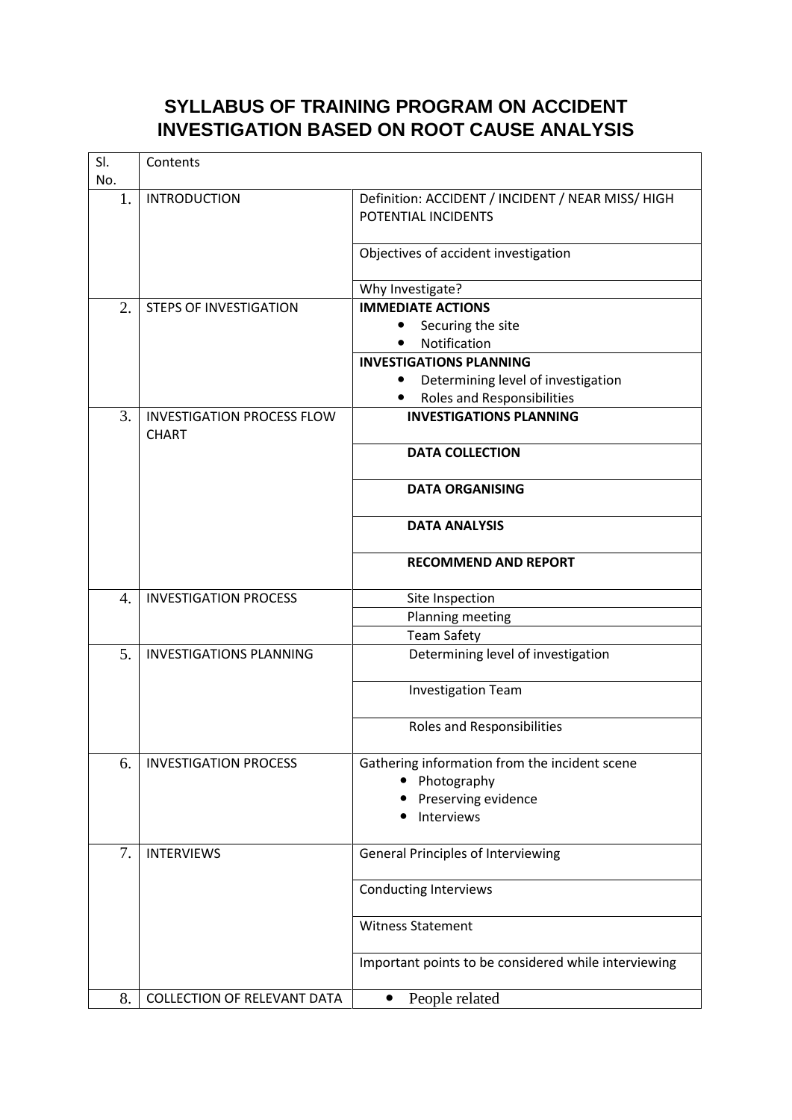# **SYLLABUS OF TRAINING PROGRAM ON ACCIDENT INVESTIGATION BASED ON ROOT CAUSE ANALYSIS**

| SI. | Contents                                          |                                                                          |
|-----|---------------------------------------------------|--------------------------------------------------------------------------|
| No. |                                                   |                                                                          |
| 1.  | <b>INTRODUCTION</b>                               | Definition: ACCIDENT / INCIDENT / NEAR MISS/ HIGH<br>POTENTIAL INCIDENTS |
|     |                                                   | Objectives of accident investigation                                     |
|     |                                                   | Why Investigate?                                                         |
| 2.  | <b>STEPS OF INVESTIGATION</b>                     | <b>IMMEDIATE ACTIONS</b>                                                 |
|     |                                                   | Securing the site<br>$\bullet$                                           |
|     |                                                   | Notification                                                             |
|     |                                                   | <b>INVESTIGATIONS PLANNING</b>                                           |
|     |                                                   | Determining level of investigation                                       |
|     |                                                   | <b>Roles and Responsibilities</b>                                        |
| 3.  | <b>INVESTIGATION PROCESS FLOW</b><br><b>CHART</b> | <b>INVESTIGATIONS PLANNING</b>                                           |
|     |                                                   | <b>DATA COLLECTION</b>                                                   |
|     |                                                   | <b>DATA ORGANISING</b>                                                   |
|     |                                                   | <b>DATA ANALYSIS</b>                                                     |
|     |                                                   | <b>RECOMMEND AND REPORT</b>                                              |
| 4.  | <b>INVESTIGATION PROCESS</b>                      | Site Inspection                                                          |
|     |                                                   | Planning meeting                                                         |
|     |                                                   | <b>Team Safety</b>                                                       |
| 5.  | <b>INVESTIGATIONS PLANNING</b>                    | Determining level of investigation                                       |
|     |                                                   | <b>Investigation Team</b>                                                |
|     |                                                   | Roles and Responsibilities                                               |
| 6.  | <b>INVESTIGATION PROCESS</b>                      | Gathering information from the incident scene                            |
|     |                                                   | Photography<br>٠                                                         |
|     |                                                   | Preserving evidence                                                      |
|     |                                                   | Interviews                                                               |
| 7.  | <b>INTERVIEWS</b>                                 | <b>General Principles of Interviewing</b>                                |
|     |                                                   | <b>Conducting Interviews</b>                                             |
|     |                                                   | <b>Witness Statement</b>                                                 |
|     |                                                   | Important points to be considered while interviewing                     |
| 8.  | <b>COLLECTION OF RELEVANT DATA</b>                | People related<br>$\bullet$                                              |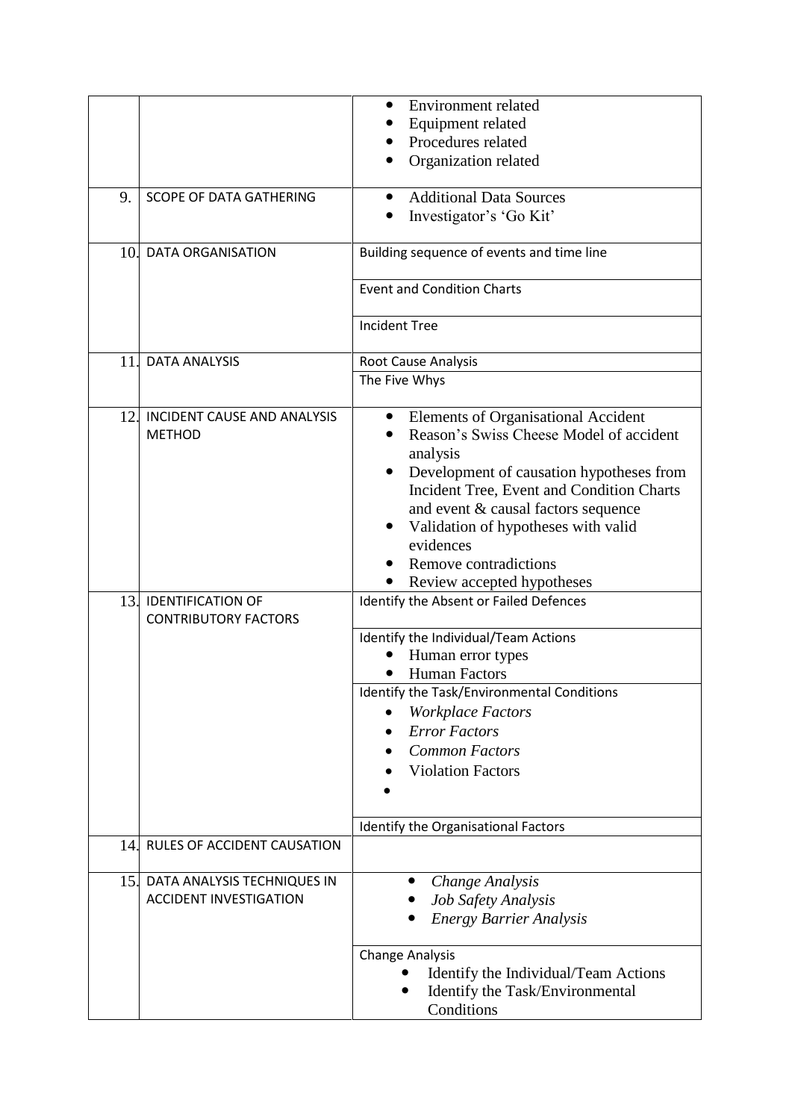|     |                                    | Environment related                                   |
|-----|------------------------------------|-------------------------------------------------------|
|     |                                    | Equipment related                                     |
|     |                                    | Procedures related                                    |
|     |                                    |                                                       |
|     |                                    | Organization related                                  |
| 9.  | <b>SCOPE OF DATA GATHERING</b>     | <b>Additional Data Sources</b><br>$\bullet$           |
|     |                                    | Investigator's 'Go Kit'                               |
|     |                                    |                                                       |
| 10. | <b>DATA ORGANISATION</b>           | Building sequence of events and time line             |
|     |                                    | <b>Event and Condition Charts</b>                     |
|     |                                    | <b>Incident Tree</b>                                  |
| 11. | <b>DATA ANALYSIS</b>               | Root Cause Analysis                                   |
|     |                                    | The Five Whys                                         |
|     |                                    |                                                       |
| 12. | <b>INCIDENT CAUSE AND ANALYSIS</b> | Elements of Organisational Accident<br>$\bullet$      |
|     | <b>METHOD</b>                      | Reason's Swiss Cheese Model of accident               |
|     |                                    | analysis                                              |
|     |                                    | Development of causation hypotheses from<br>$\bullet$ |
|     |                                    | Incident Tree, Event and Condition Charts             |
|     |                                    | and event & causal factors sequence                   |
|     |                                    | Validation of hypotheses with valid                   |
|     |                                    | evidences                                             |
|     |                                    | Remove contradictions                                 |
|     |                                    |                                                       |
| 13. | <b>IDENTIFICATION OF</b>           | Review accepted hypotheses                            |
|     | <b>CONTRIBUTORY FACTORS</b>        | Identify the Absent or Failed Defences                |
|     |                                    | Identify the Individual/Team Actions                  |
|     |                                    | Human error types                                     |
|     |                                    | <b>Human Factors</b>                                  |
|     |                                    | Identify the Task/Environmental Conditions            |
|     |                                    | <b>Workplace Factors</b>                              |
|     |                                    | <b>Error Factors</b>                                  |
|     |                                    | <b>Common Factors</b>                                 |
|     |                                    |                                                       |
|     |                                    | <b>Violation Factors</b>                              |
|     |                                    |                                                       |
|     |                                    | Identify the Organisational Factors                   |
| 14. | RULES OF ACCIDENT CAUSATION        |                                                       |
| 15. | DATA ANALYSIS TECHNIQUES IN        | Change Analysis                                       |
|     | <b>ACCIDENT INVESTIGATION</b>      | Job Safety Analysis                                   |
|     |                                    | <b>Energy Barrier Analysis</b>                        |
|     |                                    | <b>Change Analysis</b>                                |
|     |                                    | Identify the Individual/Team Actions                  |
|     |                                    | Identify the Task/Environmental                       |
|     |                                    | Conditions                                            |